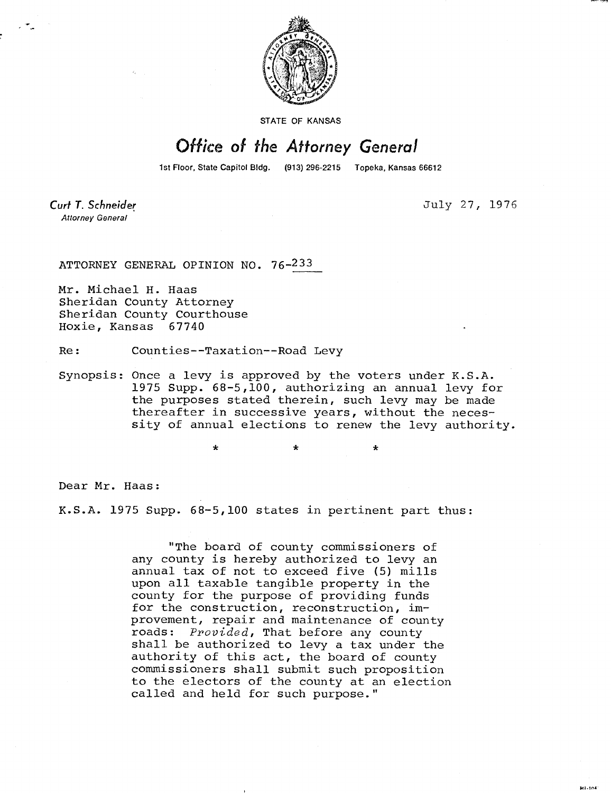

STATE OF KANSAS

## Office of the Attorney General

1st Floor, State Capitol Bldg. (913) 296-2215 Topeka, Kansas 66612

Curt T. Schneider **Attorney General** 

July 27, 1976

MI-1041

ATTORNEY GENERAL OPINION NO. 76-233

Mr. Michael H. Haas Sheridan County Attorney Sheridan County Courthouse Hoxie, Kansas 67740

Re: Counties--Taxation--Road Levy

\*

Synopsis: Once a levy is approved by the voters under K.S.A. 1975 Supp. 68-5,100, authorizing an annual levy for the purposes stated therein, such levy may be made thereafter in successive years, without the necessity of annual elections to renew the levy authority.

Dear Mr. Haas:

K.S.A. 1975 Supp. 68-5,100 states in pertinent part thus:

"The board of county commissioners of any county is hereby authorized to levy an annual tax of not to exceed five (5) mills upon all taxable tangible property in the county for the purpose of providing funds for the construction, reconstruction, improvement, repair and maintenance of county roads: Provided, That before any county shall be authorized to levy a tax under the authority of this act, the board of county commissioners shall submit such proposition to the electors of the county at an election called and held for such purpose."